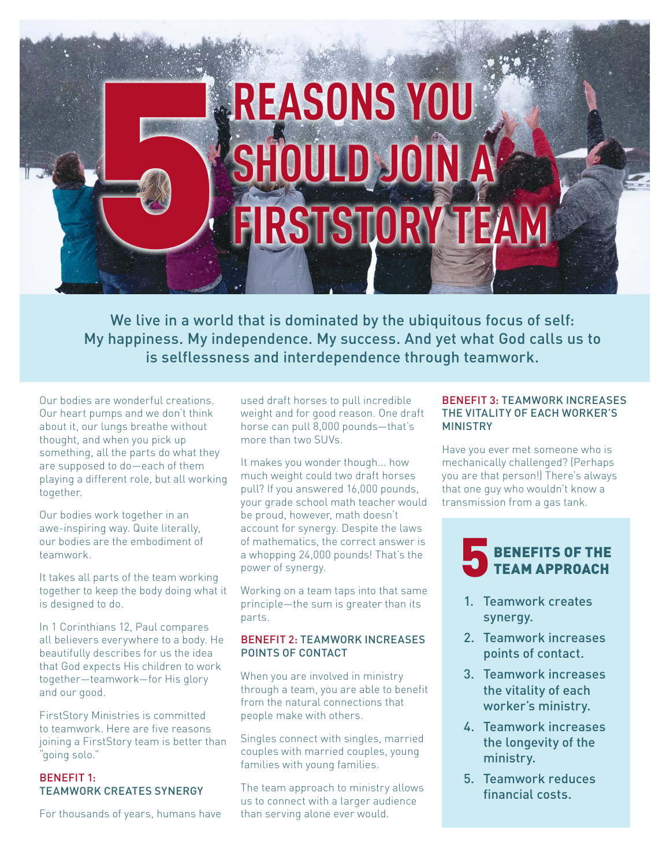# **REASONS YOU SHOULD JOIN A FIRSTSTORY TEA** 5

We live in a world that is dominated by the ubiquitous focus of self: My happiness. My independence. My success. And yet what God calls us to is selflessness and interdependence through teamwork.

Our bodies are wonderful creations. Our heart pumps and we don't think about it, our lungs breathe without thought, and when you pick up something, all the parts do what they are supposed to do—each of them playing a different role, but all working together.

Our bodies work together in an awe-inspiring way. Quite literally, our bodies are the embodiment of teamwork.

It takes all parts of the team working together to keep the body doing what it is designed to do.

In 1 Corinthians 12, Paul compares all believers everywhere to a body. He beautifully describes for us the idea that God expects His children to work together—teamwork—for His glory and our good.

FirstStory Ministries is committed to teamwork. Here are five reasons joining a FirstStory team is better than "going solo."

# BENEFIT 1: TEAMWORK CREATES SYNERGY

For thousands of years, humans have

used draft horses to pull incredible weight and for good reason. One draft horse can pull 8,000 pounds—that's more than two SUVs.

It makes you wonder though... how much weight could two draft horses pull? If you answered 16,000 pounds, your grade school math teacher would be proud, however, math doesn't account for synergy. Despite the laws of mathematics, the correct answer is a whopping 24,000 pounds! That's the power of synergy.

Working on a team taps into that same principle—the sum is greater than its parts.

## BENEFIT 2: TEAMWORK INCREASES POINTS OF CONTACT

When you are involved in ministry through a team, you are able to benefit from the natural connections that people make with others.

Singles connect with singles, married couples with married couples, young families with young families.

The team approach to ministry allows us to connect with a larger audience than serving alone ever would.

#### BENEFIT 3: TEAMWORK INCREASES THE VITALITY OF EACH WORKER'S MINISTRY

Have you ever met someone who is mechanically challenged? (Perhaps you are that person!) There's always that one guy who wouldn't know a transmission from a gas tank.



- 1. Teamwork creates synergy.
- 2. Teamwork increases points of contact.
- 3. Teamwork increases the vitality of each worker's ministry.
- 4. Teamwork increases the longevity of the ministry.
- 5. Teamwork reduces financial costs.